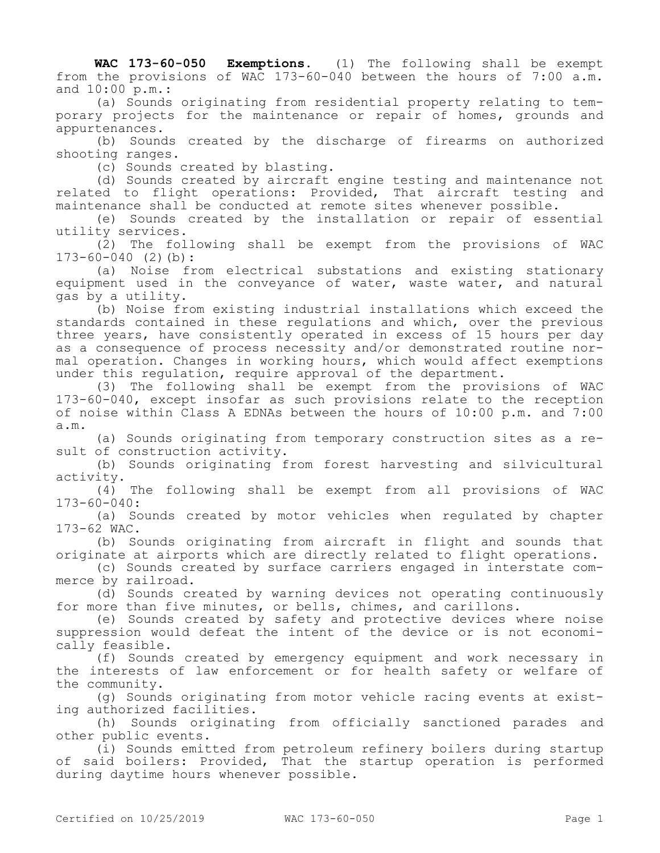**WAC 173-60-050 Exemptions.** (1) The following shall be exempt from the provisions of WAC 173-60-040 between the hours of 7:00 a.m. and 10:00 p.m.:

(a) Sounds originating from residential property relating to temporary projects for the maintenance or repair of homes, grounds and appurtenances.

(b) Sounds created by the discharge of firearms on authorized shooting ranges.

(c) Sounds created by blasting.

(d) Sounds created by aircraft engine testing and maintenance not related to flight operations: Provided, That aircraft testing and maintenance shall be conducted at remote sites whenever possible.

(e) Sounds created by the installation or repair of essential utility services.

(2) The following shall be exempt from the provisions of WAC 173-60-040 (2)(b):

(a) Noise from electrical substations and existing stationary equipment used in the conveyance of water, waste water, and natural gas by a utility.

(b) Noise from existing industrial installations which exceed the standards contained in these regulations and which, over the previous three years, have consistently operated in excess of 15 hours per day as a consequence of process necessity and/or demonstrated routine normal operation. Changes in working hours, which would affect exemptions under this regulation, require approval of the department.

(3) The following shall be exempt from the provisions of WAC 173-60-040, except insofar as such provisions relate to the reception of noise within Class A EDNAs between the hours of 10:00 p.m. and 7:00 a.m.

(a) Sounds originating from temporary construction sites as a result of construction activity.

(b) Sounds originating from forest harvesting and silvicultural activity.

(4) The following shall be exempt from all provisions of WAC  $173 - 60 - 040$ :

(a) Sounds created by motor vehicles when regulated by chapter 173-62 WAC.

(b) Sounds originating from aircraft in flight and sounds that originate at airports which are directly related to flight operations.

(c) Sounds created by surface carriers engaged in interstate commerce by railroad.

(d) Sounds created by warning devices not operating continuously for more than five minutes, or bells, chimes, and carillons.

(e) Sounds created by safety and protective devices where noise suppression would defeat the intent of the device or is not economically feasible.

(f) Sounds created by emergency equipment and work necessary in the interests of law enforcement or for health safety or welfare of the community.

(g) Sounds originating from motor vehicle racing events at existing authorized facilities.

(h) Sounds originating from officially sanctioned parades and other public events.

(i) Sounds emitted from petroleum refinery boilers during startup of said boilers: Provided, That the startup operation is performed during daytime hours whenever possible.